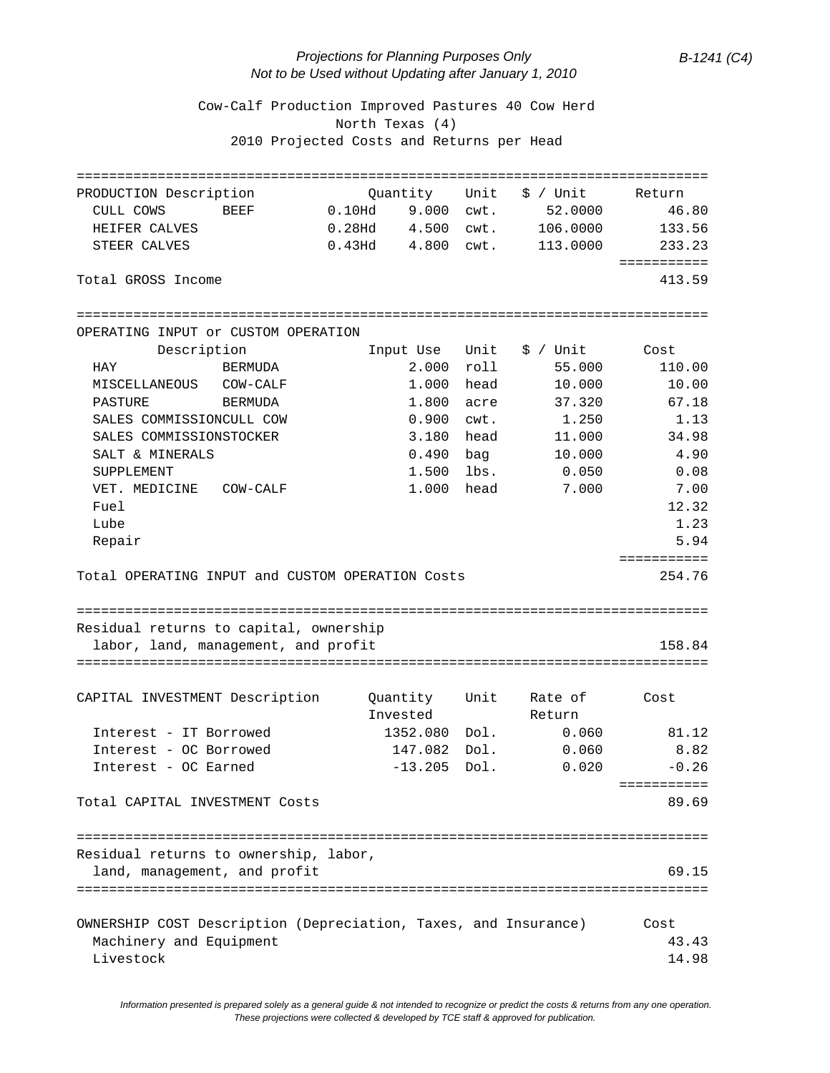## *Projections for Planning Purposes Only B-1241 (C4) Not to be Used without Updating after January 1, 2010*

 Cow-Calf Production Improved Pastures 40 Cow Herd North Texas (4) 2010 Projected Costs and Returns per Head

| PRODUCTION Description                                                                     | Ouantity             | Unit | \$ / Unit | Return      |
|--------------------------------------------------------------------------------------------|----------------------|------|-----------|-------------|
| CULL COWS<br>BEEF                                                                          | 0.10Hd 9.000 cwt.    |      | 52.0000   | 46.80       |
| HEIFER CALVES                                                                              | 0.28Hd  4.500   cwt. |      | 106.0000  | 133.56      |
| STEER CALVES                                                                               |                      |      | 113.0000  | 233.23      |
|                                                                                            |                      |      |           | =========== |
| Total GROSS Income                                                                         |                      |      |           | 413.59      |
| OPERATING INPUT or CUSTOM OPERATION                                                        |                      |      |           |             |
| Description                                                                                | Input Use            | Unit | \$ / Unit | Cost        |
| HAY<br>BERMUDA                                                                             | 2.000                | roll | 55.000    | 110.00      |
| MISCELLANEOUS<br>COW-CALF                                                                  | 1.000                | head | 10.000    | 10.00       |
| PASTURE<br>BERMUDA                                                                         | 1.800                | acre | 37.320    | 67.18       |
| SALES COMMISSIONCULL COW                                                                   | 0.900                | cwt. | 1.250     | 1.13        |
| SALES COMMISSIONSTOCKER                                                                    | 3.180                | head | 11.000    | 34.98       |
| SALT & MINERALS                                                                            | 0.490                | bag  | 10.000    | 4.90        |
| SUPPLEMENT                                                                                 | 1.500                | lbs. | 0.050     | 0.08        |
| VET. MEDICINE<br>COW-CALF                                                                  | 1.000 head           |      | 7.000     | 7.00        |
| Fuel                                                                                       |                      |      |           | 12.32       |
| Lube                                                                                       |                      |      |           | 1.23        |
| Repair                                                                                     |                      |      |           | 5.94        |
|                                                                                            |                      |      |           | =========== |
| Total OPERATING INPUT and CUSTOM OPERATION Costs                                           |                      |      |           | 254.76      |
|                                                                                            |                      |      |           |             |
|                                                                                            |                      |      |           |             |
|                                                                                            |                      |      |           |             |
| Residual returns to capital, ownership                                                     |                      |      |           |             |
| labor, land, management, and profit                                                        |                      |      |           | 158.84      |
|                                                                                            |                      |      |           |             |
| CAPITAL INVESTMENT Description                                                             | Quantity             | Unit | Rate of   | Cost        |
|                                                                                            | Invested             |      | Return    |             |
| Interest - IT Borrowed                                                                     | 1352.080 Dol.        |      | 0.060     | 81.12       |
| Interest - OC Borrowed                                                                     | 147.082              | Dol. | 0.060     | 8.82        |
| Interest - OC Earned                                                                       | $-13.205$            | Dol. | 0.020     | $-0.26$     |
|                                                                                            |                      |      |           | =========== |
| Total CAPITAL INVESTMENT Costs                                                             |                      |      |           | 89.69       |
|                                                                                            |                      |      |           |             |
|                                                                                            |                      |      |           |             |
| Residual returns to ownership, labor,                                                      |                      |      |           |             |
| land, management, and profit                                                               |                      |      |           | 69.15       |
|                                                                                            |                      |      |           |             |
|                                                                                            |                      |      |           | Cost        |
| OWNERSHIP COST Description (Depreciation, Taxes, and Insurance)<br>Machinery and Equipment |                      |      |           | 43.43       |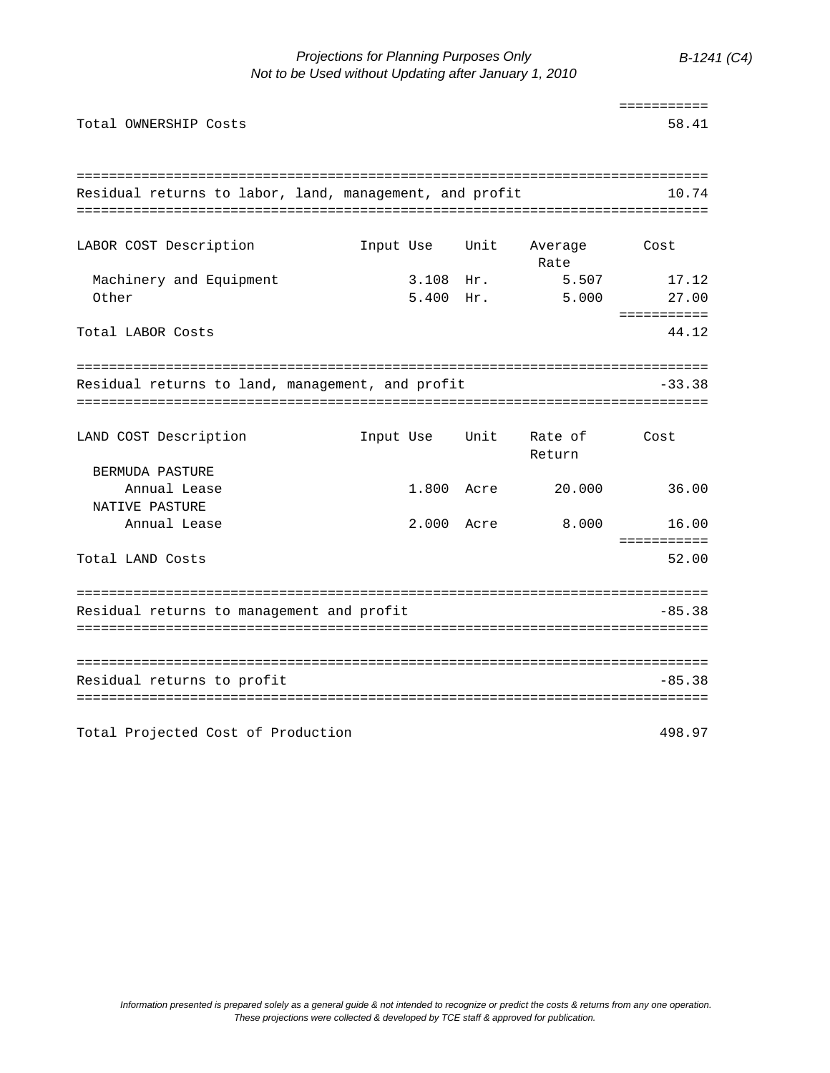*Projections for Planning Purposes Only B-1241 (C4) Not to be Used without Updating after January 1, 2010*

|                                                         |            |      |                 | ===========          |
|---------------------------------------------------------|------------|------|-----------------|----------------------|
| Total OWNERSHIP Costs                                   |            |      |                 | 58.41                |
|                                                         |            |      |                 |                      |
| Residual returns to labor, land, management, and profit |            |      |                 | 10.74                |
|                                                         |            |      |                 |                      |
| LABOR COST Description                                  | Input Use  | Unit | Average<br>Rate | Cost                 |
| Machinery and Equipment                                 | 3.108 Hr.  |      | 5.507           | 17.12                |
| Other                                                   | 5.400 Hr.  |      | 5.000           | 27.00                |
|                                                         |            |      |                 | ===========<br>44.12 |
| Total LABOR Costs                                       |            |      |                 |                      |
|                                                         |            |      |                 |                      |
| Residual returns to land, management, and profit        |            |      |                 | -33.38               |
|                                                         |            |      |                 |                      |
| LAND COST Description                                   | Input Use  | Unit | Rate of         | Cost                 |
|                                                         |            |      | Return          |                      |
| BERMUDA PASTURE                                         |            |      |                 |                      |
| Annual Lease<br>NATIVE PASTURE                          | 1.800 Acre |      | 20.000          | 36.00                |
| Annual Lease                                            | 2.000 Acre |      | 8.000           | 16.00                |
|                                                         |            |      |                 | ===========          |
| Total LAND Costs                                        |            |      |                 | 52.00                |
|                                                         |            |      |                 |                      |
| Residual returns to management and profit               |            |      |                 | $-85.38$             |
|                                                         |            |      |                 |                      |
|                                                         |            |      |                 |                      |
| Residual returns to profit                              |            |      |                 | $-85.38$             |
|                                                         |            |      |                 |                      |
| Total Projected Cost of Production                      |            |      |                 | 498.97               |
|                                                         |            |      |                 |                      |